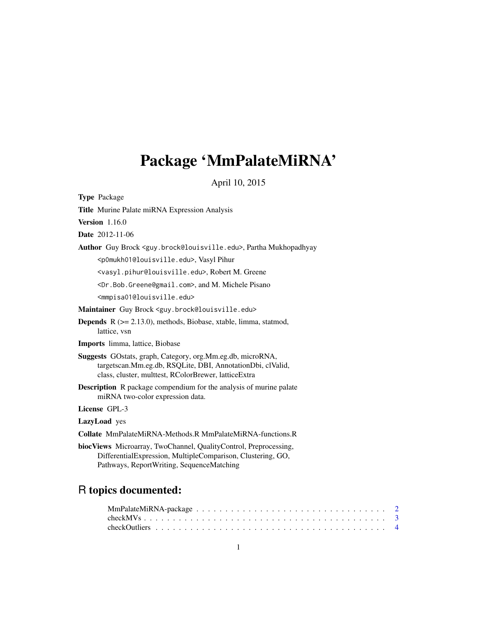# Package 'MmPalateMiRNA'

April 10, 2015

<span id="page-0-0"></span>Type Package Title Murine Palate miRNA Expression Analysis Version 1.16.0 Date 2012-11-06 Author Guy Brock <guy.brock@louisville.edu>, Partha Mukhopadhyay <p0mukh01@louisville.edu>, Vasyl Pihur <vasyl.pihur@louisville.edu>, Robert M. Greene <Dr.Bob.Greene@gmail.com>, and M. Michele Pisano <mmpisa01@louisville.edu> Maintainer Guy Brock <guy.brock@louisville.edu> Depends R (>= 2.13.0), methods, Biobase, xtable, limma, statmod, lattice, vsn Imports limma, lattice, Biobase Suggests GOstats, graph, Category, org.Mm.eg.db, microRNA, targetscan.Mm.eg.db, RSQLite, DBI, AnnotationDbi, clValid, class, cluster, multtest, RColorBrewer, latticeExtra Description R package compendium for the analysis of murine palate miRNA two-color expression data. License GPL-3 LazyLoad yes Collate MmPalateMiRNA-Methods.R MmPalateMiRNA-functions.R biocViews Microarray, TwoChannel, QualityControl, Preprocessing, DifferentialExpression, MultipleComparison, Clustering, GO, Pathways, ReportWriting, SequenceMatching

# R topics documented: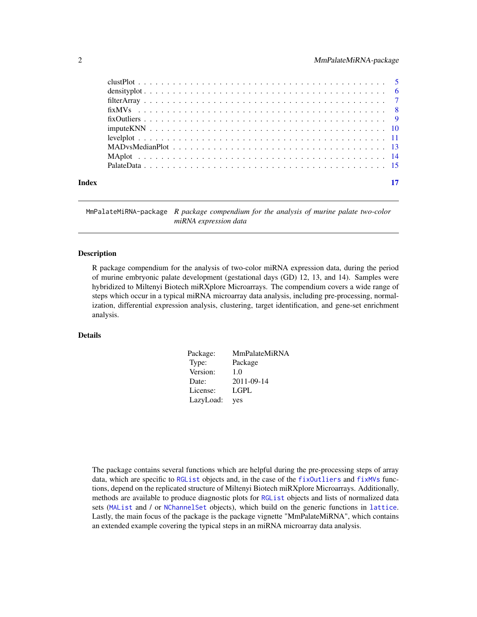<span id="page-1-0"></span>

| Index |  |
|-------|--|

MmPalateMiRNA-package *R package compendium for the analysis of murine palate two-color miRNA expression data*

# **Description**

R package compendium for the analysis of two-color miRNA expression data, during the period of murine embryonic palate development (gestational days (GD) 12, 13, and 14). Samples were hybridized to Miltenyi Biotech miRXplore Microarrays. The compendium covers a wide range of steps which occur in a typical miRNA microarray data analysis, including pre-processing, normalization, differential expression analysis, clustering, target identification, and gene-set enrichment analysis.

#### Details

| Package:  | <b>MmPalateMiRNA</b> |
|-----------|----------------------|
| Type:     | Package              |
| Version:  | 1.0                  |
| Date:     | 2011-09-14           |
| License:  | LGPL                 |
| LazyLoad: | yes                  |

The package contains several functions which are helpful during the pre-processing steps of array data, which are specific to [RGList](#page-0-0) objects and, in the case of the [fixOutliers](#page-8-1) and [fixMVs](#page-7-1) functions, depend on the replicated structure of Miltenyi Biotech miRXplore Microarrays. Additionally, methods are available to produce diagnostic plots for [RGList](#page-0-0) objects and lists of normalized data sets ([MAList](#page-0-0) and / or [NChannelSet](#page-0-0) objects), which build on the generic functions in [lattice](#page-0-0). Lastly, the main focus of the package is the package vignette "MmPalateMiRNA", which contains an extended example covering the typical steps in an miRNA microarray data analysis.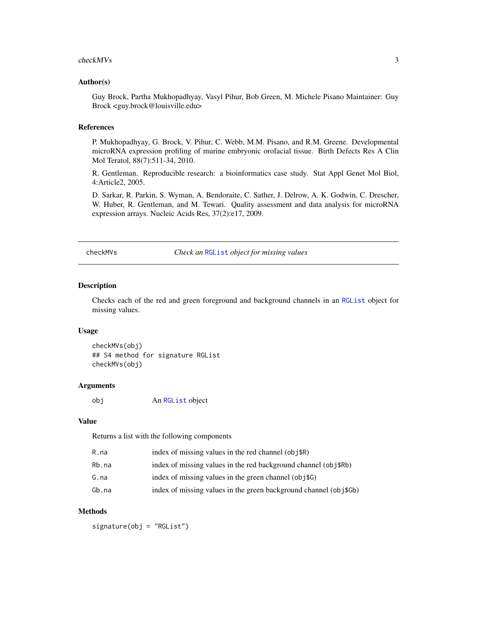#### <span id="page-2-0"></span>checkMVs 3

#### Author(s)

Guy Brock, Partha Mukhopadhyay, Vasyl Pihur, Bob Green, M. Michele Pisano Maintainer: Guy Brock <guy.brock@louisville.edu>

#### References

P. Mukhopadhyay, G. Brock, V. Pihur, C. Webb, M.M. Pisano, and R.M. Greene. Developmental microRNA expression profiling of murine embryonic orofacial tissue. Birth Defects Res A Clin Mol Teratol, 88(7):511-34, 2010.

R. Gentleman. Reproducible research: a bioinformatics case study. Stat Appl Genet Mol Biol, 4:Article2, 2005.

D. Sarkar, R. Parkin, S. Wyman, A. Bendoraite, C. Sather, J. Delrow, A. K. Godwin, C. Drescher, W. Huber, R. Gentleman, and M. Tewari. Quality assessment and data analysis for microRNA expression arrays. Nucleic Acids Res, 37(2):e17, 2009.

<span id="page-2-1"></span>checkMVs *Check an* [RGList](#page-0-0) *object for missing values*

#### Description

Checks each of the red and green foreground and background channels in an [RGList](#page-0-0) object for missing values.

#### Usage

checkMVs(obj) ## S4 method for signature RGList checkMVs(obj)

### Arguments

obj An [RGList](#page-0-0) object

#### Value

Returns a list with the following components

| R.na  | index of missing values in the red channel $(obj$R)$              |
|-------|-------------------------------------------------------------------|
| Rb.na | index of missing values in the red background channel (obj\$Rb)   |
| G.na  | index of missing values in the green channel (obj\$G)             |
| Gb.na | index of missing values in the green background channel (obj\$Gb) |

#### Methods

signature(obj = "RGList")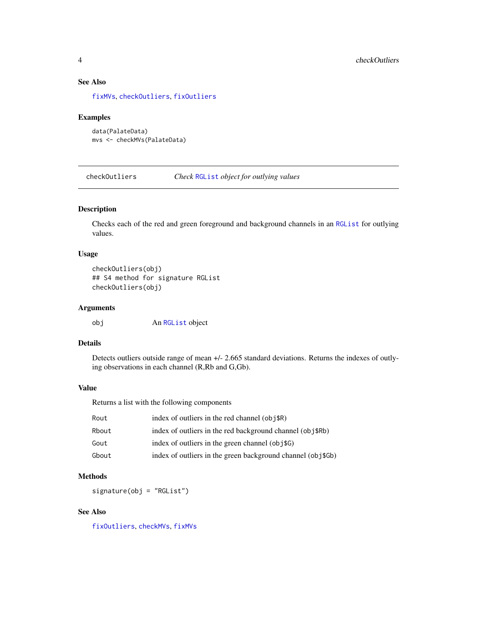# See Also

[fixMVs](#page-7-1), [checkOutliers](#page-3-1), [fixOutliers](#page-8-1)

#### Examples

```
data(PalateData)
mvs <- checkMVs(PalateData)
```
<span id="page-3-1"></span>checkOutliers *Check* [RGList](#page-0-0) *object for outlying values*

# Description

Checks each of the red and green foreground and background channels in an [RGList](#page-0-0) for outlying values.

# Usage

```
checkOutliers(obj)
## S4 method for signature RGList
checkOutliers(obj)
```
# Arguments

obj An [RGList](#page-0-0) object

# Details

Detects outliers outside range of mean +/- 2.665 standard deviations. Returns the indexes of outlying observations in each channel (R,Rb and G,Gb).

# Value

Returns a list with the following components

| Rout  | index of outliers in the red channel $(obj$R)$              |
|-------|-------------------------------------------------------------|
| Rbout | index of outliers in the red background channel (obj\$Rb)   |
| Gout  | index of outliers in the green channel (obj\\$G)            |
| Gbout | index of outliers in the green background channel (obj\$Gb) |

# Methods

signature(obj = "RGList")

# See Also

[fixOutliers](#page-8-1), [checkMVs](#page-2-1), [fixMVs](#page-7-1)

<span id="page-3-0"></span>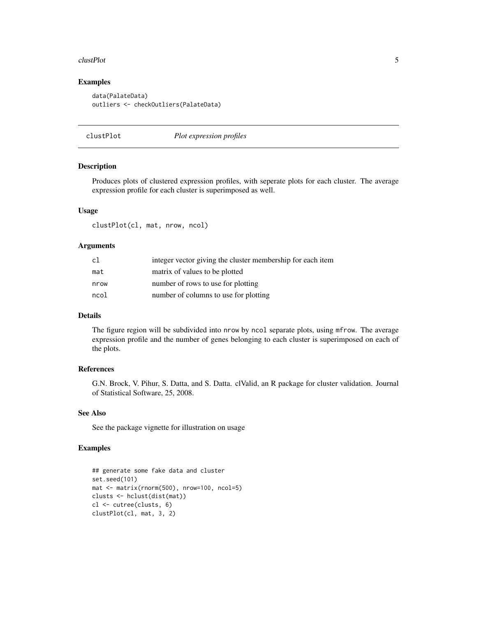#### <span id="page-4-0"></span>clustPlot 5

# Examples

```
data(PalateData)
outliers <- checkOutliers(PalateData)
```

| clustPlot | Plot expression profiles |
|-----------|--------------------------|
|-----------|--------------------------|

# Description

Produces plots of clustered expression profiles, with seperate plots for each cluster. The average expression profile for each cluster is superimposed as well.

#### Usage

clustPlot(cl, mat, nrow, ncol)

#### Arguments

| c1   | integer vector giving the cluster membership for each item |
|------|------------------------------------------------------------|
| mat  | matrix of values to be plotted                             |
| nrow | number of rows to use for plotting                         |
| ncol | number of columns to use for plotting                      |

# Details

The figure region will be subdivided into nrow by ncol separate plots, using mfrow. The average expression profile and the number of genes belonging to each cluster is superimposed on each of the plots.

# References

G.N. Brock, V. Pihur, S. Datta, and S. Datta. clValid, an R package for cluster validation. Journal of Statistical Software, 25, 2008.

#### See Also

See the package vignette for illustration on usage

#### Examples

```
## generate some fake data and cluster
set.seed(101)
mat <- matrix(rnorm(500), nrow=100, ncol=5)
clusts <- hclust(dist(mat))
cl <- cutree(clusts, 6)
clustPlot(cl, mat, 3, 2)
```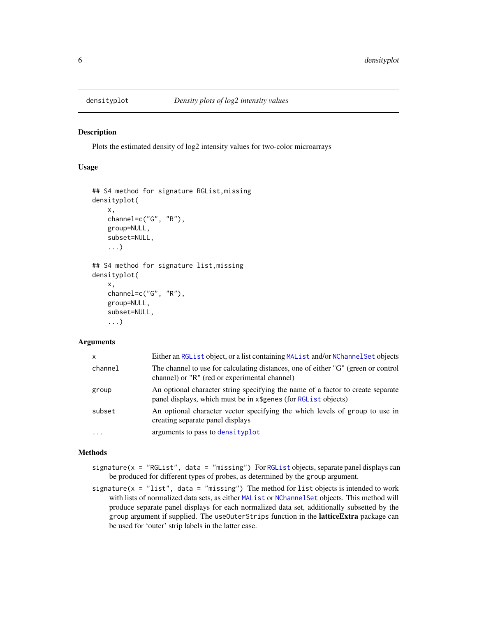<span id="page-5-1"></span><span id="page-5-0"></span>

#### Description

Plots the estimated density of log2 intensity values for two-color microarrays

# Usage

```
## S4 method for signature RGList,missing
densityplot(
    x,
    channel=c("G", "R"),
    group=NULL,
    subset=NULL,
    ...)
## S4 method for signature list,missing
densityplot(
    x,
    channel=c("G", "R"),
    group=NULL,
    subset=NULL,
    ...)
```
#### **Arguments**

| X        | Either an RGList object, or a list containing MAList and/or NChannelSet objects                                                                    |
|----------|----------------------------------------------------------------------------------------------------------------------------------------------------|
| channel  | The channel to use for calculating distances, one of either "G" (green or control<br>channel) or "R" (red or experimental channel)                 |
| group    | An optional character string specifying the name of a factor to create separate<br>panel displays, which must be in x\$genes (for RGL ist objects) |
| subset   | An optional character vector specifying the which levels of group to use in<br>creating separate panel displays                                    |
| $\cdots$ | arguments to pass to densityplot                                                                                                                   |

### Methods

- signature( $x = 'RGList', data = 'missing'$  $x = 'RGList', data = 'missing'$  $x = 'RGList', data = 'missing'$ ) For RGList objects, separate panel displays can be produced for different types of probes, as determined by the group argument.
- signature( $x =$  "list", data = "missing") The method for list objects is intended to work with lists of normalized data sets, as either [MAList](#page-0-0) or [NChannelSet](#page-0-0) objects. This method will produce separate panel displays for each normalized data set, additionally subsetted by the group argument if supplied. The useOuterStrips function in the **latticeExtra** package can be used for 'outer' strip labels in the latter case.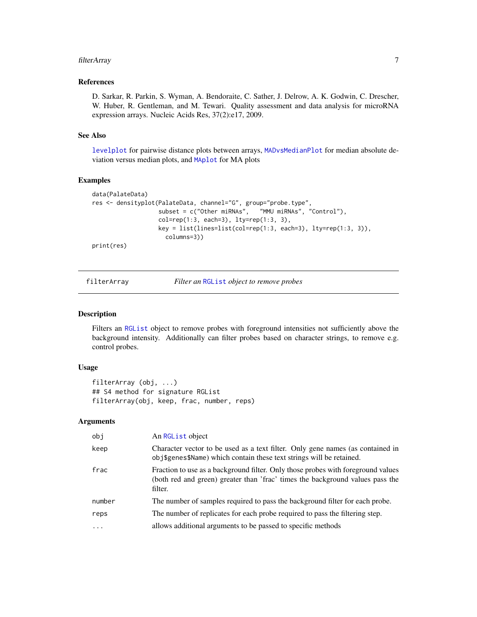#### <span id="page-6-0"></span>filterArray 7

# References

D. Sarkar, R. Parkin, S. Wyman, A. Bendoraite, C. Sather, J. Delrow, A. K. Godwin, C. Drescher, W. Huber, R. Gentleman, and M. Tewari. Quality assessment and data analysis for microRNA expression arrays. Nucleic Acids Res, 37(2):e17, 2009.

#### See Also

[levelplot](#page-10-1) for pairwise distance plots between arrays, [MADvsMedianPlot](#page-12-1) for median absolute deviation versus median plots, and [MAplot](#page-13-1) for MA plots

#### Examples

```
data(PalateData)
res <- densityplot(PalateData, channel="G", group="probe.type",
                  subset = c("Other miRNAs", "MMU miRNAs", "Control"),
                  col=rep(1:3, each=3), 1ty=rep(1:3, 3),key = list(lines=list(col=rep(1:3, each=3), lty=rep(1:3, 3)),
                    columns=3))
print(res)
```
filterArray *Filter an* [RGList](#page-0-0) *object to remove probes*

#### Description

Filters an [RGList](#page-0-0) object to remove probes with foreground intensities not sufficiently above the background intensity. Additionally can filter probes based on character strings, to remove e.g. control probes.

#### Usage

```
filterArray (obj, ...)
## S4 method for signature RGList
filterArray(obj, keep, frac, number, reps)
```
#### Arguments

| obi      | An RGL ist object                                                                                                                                                            |
|----------|------------------------------------------------------------------------------------------------------------------------------------------------------------------------------|
| keep     | Character vector to be used as a text filter. Only gene names (as contained in<br>obj\$genes\$Name) which contain these text strings will be retained.                       |
| frac     | Fraction to use as a background filter. Only those probes with foreground values<br>(both red and green) greater than 'frac' times the background values pass the<br>filter. |
| number   | The number of samples required to pass the background filter for each probe.                                                                                                 |
| reps     | The number of replicates for each probe required to pass the filtering step.                                                                                                 |
| $\cdots$ | allows additional arguments to be passed to specific methods                                                                                                                 |
|          |                                                                                                                                                                              |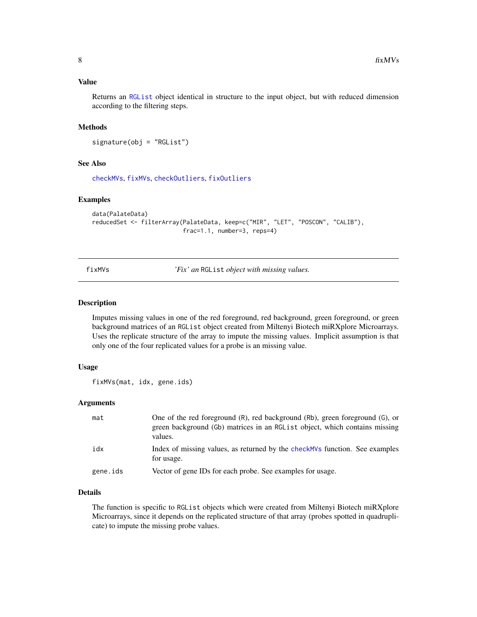# <span id="page-7-0"></span>Value

Returns an [RGList](#page-0-0) object identical in structure to the input object, but with reduced dimension according to the filtering steps.

#### Methods

signature(obj = "RGList")

# See Also

[checkMVs](#page-2-1), [fixMVs](#page-7-1), [checkOutliers](#page-3-1), [fixOutliers](#page-8-1)

#### Examples

```
data(PalateData)
reducedSet <- filterArray(PalateData, keep=c("MIR", "LET", "POSCON", "CALIB"),
                          frac=1.1, number=3, reps=4)
```
<span id="page-7-1"></span>fixMVs *'Fix' an* RGList *object with missing values.*

#### Description

Imputes missing values in one of the red foreground, red background, green foreground, or green background matrices of an RGList object created from Miltenyi Biotech miRXplore Microarrays. Uses the replicate structure of the array to impute the missing values. Implicit assumption is that only one of the four replicated values for a probe is an missing value.

#### Usage

fixMVs(mat, idx, gene.ids)

# Arguments

| mat      | One of the red foreground (R), red background (Rb), green foreground (G), or<br>green background (Gb) matrices in an RGL ist object, which contains missing<br>values. |
|----------|------------------------------------------------------------------------------------------------------------------------------------------------------------------------|
| idx      | Index of missing values, as returned by the check MVs function. See examples<br>for usage.                                                                             |
| gene.ids | Vector of gene IDs for each probe. See examples for usage.                                                                                                             |

# Details

The function is specific to RGList objects which were created from Miltenyi Biotech miRXplore Microarrays, since it depends on the replicated structure of that array (probes spotted in quadruplicate) to impute the missing probe values.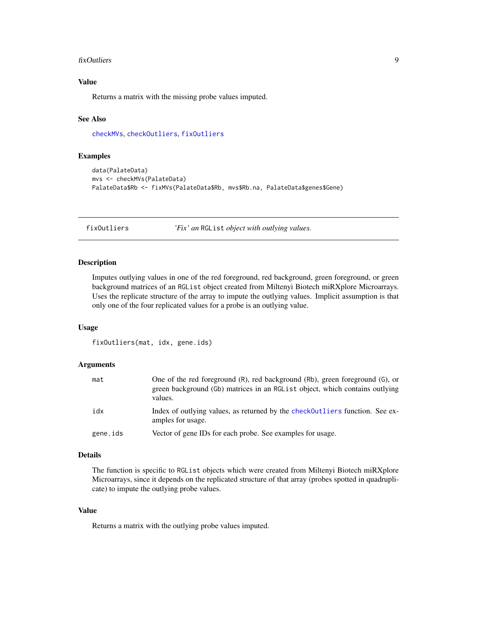#### <span id="page-8-0"></span>fixOutliers 9

# Value

Returns a matrix with the missing probe values imputed.

### See Also

[checkMVs](#page-2-1), [checkOutliers](#page-3-1), [fixOutliers](#page-8-1)

#### Examples

```
data(PalateData)
mvs <- checkMVs(PalateData)
PalateData$Rb <- fixMVs(PalateData$Rb, mvs$Rb.na, PalateData$genes$Gene)
```
<span id="page-8-1"></span>fixOutliers *'Fix' an* RGList *object with outlying values.*

#### Description

Imputes outlying values in one of the red foreground, red background, green foreground, or green background matrices of an RGList object created from Miltenyi Biotech miRXplore Microarrays. Uses the replicate structure of the array to impute the outlying values. Implicit assumption is that only one of the four replicated values for a probe is an outlying value.

#### Usage

```
fixOutliers(mat, idx, gene.ids)
```
# Arguments

| mat      | One of the red foreground (R), red background (Rb), green foreground (G), or<br>green background (Gb) matrices in an RGL is t object, which contains outlying<br>values. |
|----------|--------------------------------------------------------------------------------------------------------------------------------------------------------------------------|
| idx      | Index of outlying values, as returned by the check Outliers function. See ex-<br>amples for usage.                                                                       |
| gene.ids | Vector of gene IDs for each probe. See examples for usage.                                                                                                               |

# Details

The function is specific to RGList objects which were created from Miltenyi Biotech miRXplore Microarrays, since it depends on the replicated structure of that array (probes spotted in quadruplicate) to impute the outlying probe values.

# Value

Returns a matrix with the outlying probe values imputed.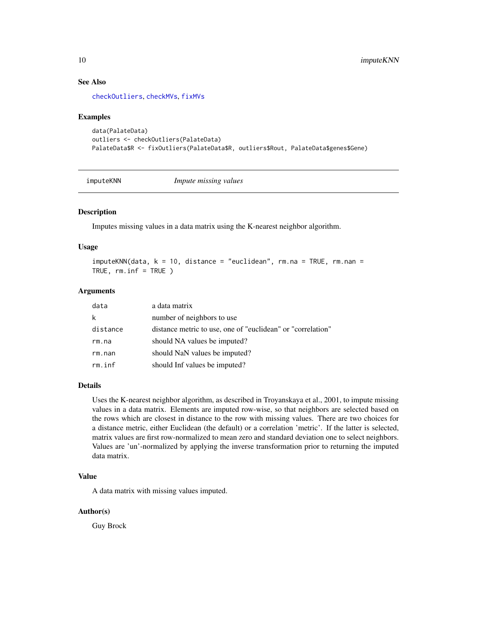# See Also

[checkOutliers](#page-3-1), [checkMVs](#page-2-1), [fixMVs](#page-7-1)

#### Examples

```
data(PalateData)
outliers <- checkOutliers(PalateData)
PalateData$R <- fixOutliers(PalateData$R, outliers$Rout, PalateData$genes$Gene)
```
imputeKNN *Impute missing values*

# Description

Imputes missing values in a data matrix using the K-nearest neighbor algorithm.

#### Usage

```
imputeKNN(data, k = 10, distance = "euclidean", rm.na = TRUE, rm.nan =
TRUE, rm.inf = TRUE )
```
#### Arguments

| data     | a data matrix                                               |
|----------|-------------------------------------------------------------|
| k        | number of neighbors to use                                  |
| distance | distance metric to use, one of "euclidean" or "correlation" |
| rm.na    | should NA values be imputed?                                |
| rm.nan   | should NaN values be imputed?                               |
| rm.inf   | should Inf values be imputed?                               |

# Details

Uses the K-nearest neighbor algorithm, as described in Troyanskaya et al., 2001, to impute missing values in a data matrix. Elements are imputed row-wise, so that neighbors are selected based on the rows which are closest in distance to the row with missing values. There are two choices for a distance metric, either Euclidean (the default) or a correlation 'metric'. If the latter is selected, matrix values are first row-normalized to mean zero and standard deviation one to select neighbors. Values are 'un'-normalized by applying the inverse transformation prior to returning the imputed data matrix.

# Value

A data matrix with missing values imputed.

#### Author(s)

Guy Brock

<span id="page-9-0"></span>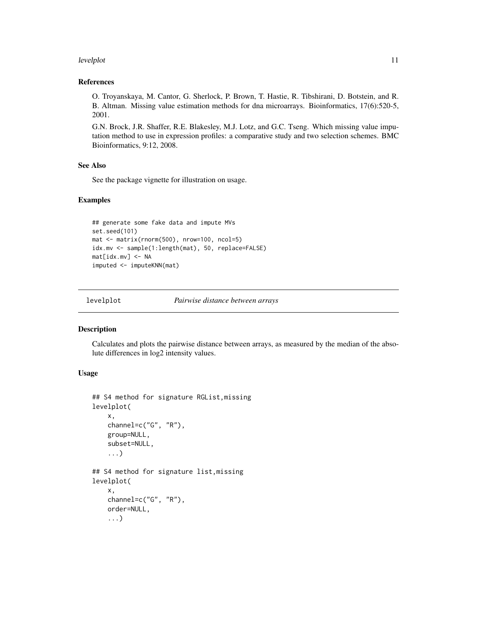#### <span id="page-10-0"></span>levelplot that the contract of the contract of the contract of the contract of the contract of the contract of the contract of the contract of the contract of the contract of the contract of the contract of the contract of

# References

O. Troyanskaya, M. Cantor, G. Sherlock, P. Brown, T. Hastie, R. Tibshirani, D. Botstein, and R. B. Altman. Missing value estimation methods for dna microarrays. Bioinformatics, 17(6):520-5, 2001.

G.N. Brock, J.R. Shaffer, R.E. Blakesley, M.J. Lotz, and G.C. Tseng. Which missing value imputation method to use in expression profiles: a comparative study and two selection schemes. BMC Bioinformatics, 9:12, 2008.

#### See Also

See the package vignette for illustration on usage.

#### Examples

```
## generate some fake data and impute MVs
set.seed(101)
mat <- matrix(rnorm(500), nrow=100, ncol=5)
idx.mv <- sample(1:length(mat), 50, replace=FALSE)
mat[idx.mv] <- NA
imputed <- imputeKNN(mat)
```
<span id="page-10-1"></span>levelplot *Pairwise distance between arrays*

# Description

Calculates and plots the pairwise distance between arrays, as measured by the median of the absolute differences in log2 intensity values.

#### Usage

```
## S4 method for signature RGList,missing
levelplot(
    x,
    channel=c("G", "R"),
    group=NULL,
    subset=NULL,
    ...)
## S4 method for signature list,missing
levelplot(
    x,
    channel=c("G", "R"),
    order=NULL,
    ...)
```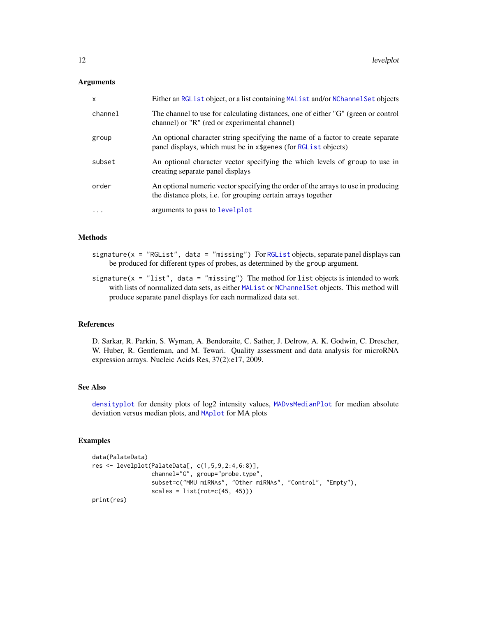### **Arguments**

| X         | Either an RGList object, or a list containing MAList and/or NChannel Set objects                                                                   |
|-----------|----------------------------------------------------------------------------------------------------------------------------------------------------|
| channel   | The channel to use for calculating distances, one of either "G" (green or control<br>channel) or "R" (red or experimental channel)                 |
| group     | An optional character string specifying the name of a factor to create separate<br>panel displays, which must be in x\$genes (for RGList objects)  |
| subset    | An optional character vector specifying the which levels of group to use in<br>creating separate panel displays                                    |
| order     | An optional numeric vector specifying the order of the arrays to use in producing<br>the distance plots, i.e. for grouping certain arrays together |
| $\ddotsc$ | arguments to pass to levelplot                                                                                                                     |

# Methods

- $signature(x = "RGList", data = "missing")$  $signature(x = "RGList", data = "missing")$  $signature(x = "RGList", data = "missing")$  For RGList objects, separate panel displays can be produced for different types of probes, as determined by the group argument.
- signature( $x = "list", data = "missing")$  The method for list objects is intended to work with lists of normalized data sets, as either [MAList](#page-0-0) or [NChannelSet](#page-0-0) objects. This method will produce separate panel displays for each normalized data set.

#### References

D. Sarkar, R. Parkin, S. Wyman, A. Bendoraite, C. Sather, J. Delrow, A. K. Godwin, C. Drescher, W. Huber, R. Gentleman, and M. Tewari. Quality assessment and data analysis for microRNA expression arrays. Nucleic Acids Res, 37(2):e17, 2009.

## See Also

[densityplot](#page-5-1) for density plots of log2 intensity values, [MADvsMedianPlot](#page-12-1) for median absolute deviation versus median plots, and [MAplot](#page-13-1) for MA plots

#### Examples

```
data(PalateData)
res <- levelplot(PalateData[, c(1,5,9,2:4,6:8)],
                 channel="G", group="probe.type",
                 subset=c("MMU miRNAs", "Other miRNAs", "Control", "Empty"),
                 scales = list(root=c(45, 45)))print(res)
```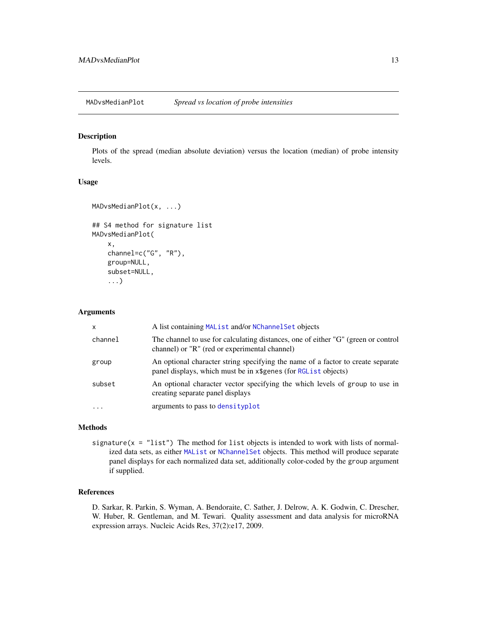<span id="page-12-1"></span><span id="page-12-0"></span>MADvsMedianPlot *Spread vs location of probe intensities*

#### Description

Plots of the spread (median absolute deviation) versus the location (median) of probe intensity levels.

### Usage

```
MADvsMedianPlot(x, ...)
## S4 method for signature list
MADvsMedianPlot(
    x,
    channel=c("G", "R"),
    group=NULL,
    subset=NULL,
    ...)
```
#### Arguments

| $\mathsf{x}$ | A list containing MAList and/or NChannel Set objects                                                                                               |
|--------------|----------------------------------------------------------------------------------------------------------------------------------------------------|
| channel      | The channel to use for calculating distances, one of either "G" (green or control<br>channel) or "R" (red or experimental channel)                 |
| group        | An optional character string specifying the name of a factor to create separate<br>panel displays, which must be in x\$genes (for RGL ist objects) |
| subset       | An optional character vector specifying the which levels of group to use in<br>creating separate panel displays                                    |
| $\ddotsc$    | arguments to pass to densityplot                                                                                                                   |

#### Methods

signature( $x =$  "list") The method for list objects is intended to work with lists of normalized data sets, as either [MAList](#page-0-0) or [NChannelSet](#page-0-0) objects. This method will produce separate panel displays for each normalized data set, additionally color-coded by the group argument if supplied.

# References

D. Sarkar, R. Parkin, S. Wyman, A. Bendoraite, C. Sather, J. Delrow, A. K. Godwin, C. Drescher, W. Huber, R. Gentleman, and M. Tewari. Quality assessment and data analysis for microRNA expression arrays. Nucleic Acids Res, 37(2):e17, 2009.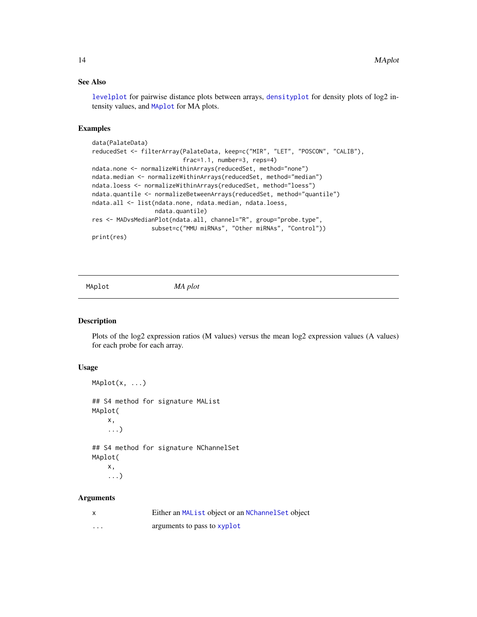# See Also

[levelplot](#page-10-1) for pairwise distance plots between arrays, [densityplot](#page-5-1) for density plots of log2 intensity values, and [MAplot](#page-13-1) for MA plots.

# Examples

```
data(PalateData)
reducedSet <- filterArray(PalateData, keep=c("MIR", "LET", "POSCON", "CALIB"),
                          frac=1.1, number=3, reps=4)
ndata.none <- normalizeWithinArrays(reducedSet, method="none")
ndata.median <- normalizeWithinArrays(reducedSet, method="median")
ndata.loess <- normalizeWithinArrays(reducedSet, method="loess")
ndata.quantile <- normalizeBetweenArrays(reducedSet, method="quantile")
ndata.all <- list(ndata.none, ndata.median, ndata.loess,
                  ndata.quantile)
res <- MADvsMedianPlot(ndata.all, channel="R", group="probe.type",
                 subset=c("MMU miRNAs", "Other miRNAs", "Control"))
print(res)
```
<span id="page-13-1"></span>

MAplot *MA plot*

# Description

Plots of the log2 expression ratios (M values) versus the mean log2 expression values (A values) for each probe for each array.

#### Usage

```
MAplot(x, ...)
## S4 method for signature MAList
MAplot(
    x,
    ...)
## S4 method for signature NChannelSet
MAplot(
    x,
    ...)
```
#### **Arguments**

| $\boldsymbol{\mathsf{x}}$ | Either an MAList object or an NChannel Set object |
|---------------------------|---------------------------------------------------|
| $\cdots$                  | arguments to pass to <b>xyplot</b>                |

<span id="page-13-0"></span>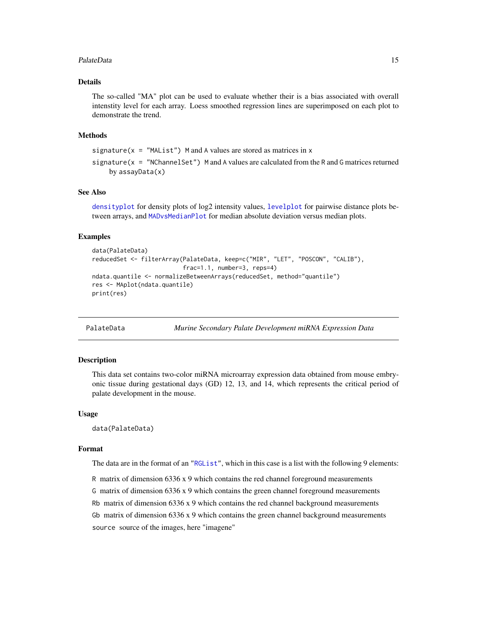#### <span id="page-14-0"></span>PalateData 15

# Details

The so-called "MA" plot can be used to evaluate whether their is a bias associated with overall intenstity level for each array. Loess smoothed regression lines are superimposed on each plot to demonstrate the trend.

#### Methods

signature( $x =$  "MAList") M and A values are stored as matrices in  $x$ 

signature( $x = 'NChannelSet'$ ) M and A values are calculated from the R and G matrices returned by assayData(x)

# See Also

[densityplot](#page-5-1) for density plots of log2 intensity values, [levelplot](#page-10-1) for pairwise distance plots between arrays, and [MADvsMedianPlot](#page-12-1) for median absolute deviation versus median plots.

#### Examples

```
data(PalateData)
reducedSet <- filterArray(PalateData, keep=c("MIR", "LET", "POSCON", "CALIB"),
                          frac=1.1, number=3, reps=4)
ndata.quantile <- normalizeBetweenArrays(reducedSet, method="quantile")
res <- MAplot(ndata.quantile)
print(res)
```
PalateData *Murine Secondary Palate Development miRNA Expression Data*

# Description

This data set contains two-color miRNA microarray expression data obtained from mouse embryonic tissue during gestational days (GD) 12, 13, and 14, which represents the critical period of palate development in the mouse.

#### Usage

```
data(PalateData)
```
#### Format

The data are in the format of an ["RGList"](#page-0-0), which in this case is a list with the following 9 elements:

R matrix of dimension 6336 x 9 which contains the red channel foreground measurements G matrix of dimension 6336 x 9 which contains the green channel foreground measurements Rb matrix of dimension  $6336 \times 9$  which contains the red channel background measurements Gb matrix of dimension  $6336 \times 9$  which contains the green channel background measurements source source of the images, here "imagene"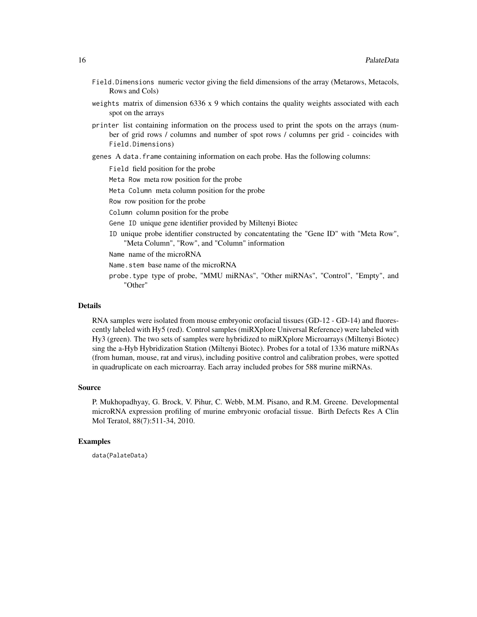- Field.Dimensions numeric vector giving the field dimensions of the array (Metarows, Metacols, Rows and Cols)
- weights matrix of dimension  $6336 \times 9$  which contains the quality weights associated with each spot on the arrays
- printer list containing information on the process used to print the spots on the arrays (number of grid rows / columns and number of spot rows / columns per grid - coincides with Field.Dimensions)
- genes A data.frame containing information on each probe. Has the following columns:

Field field position for the probe

- Meta Row meta row position for the probe
- Meta Column meta column position for the probe

Row row position for the probe

- Column column position for the probe
- Gene ID unique gene identifier provided by Miltenyi Biotec
- ID unique probe identifier constructed by concatentating the "Gene ID" with "Meta Row", "Meta Column", "Row", and "Column" information

Name name of the microRNA

- Name.stem base name of the microRNA
- probe.type type of probe, "MMU miRNAs", "Other miRNAs", "Control", "Empty", and "Other"

#### Details

RNA samples were isolated from mouse embryonic orofacial tissues (GD-12 - GD-14) and fluorescently labeled with Hy5 (red). Control samples (miRXplore Universal Reference) were labeled with Hy3 (green). The two sets of samples were hybridized to miRXplore Microarrays (Miltenyi Biotec) sing the a-Hyb Hybridization Station (Miltenyi Biotec). Probes for a total of 1336 mature miRNAs (from human, mouse, rat and virus), including positive control and calibration probes, were spotted in quadruplicate on each microarray. Each array included probes for 588 murine miRNAs.

#### Source

P. Mukhopadhyay, G. Brock, V. Pihur, C. Webb, M.M. Pisano, and R.M. Greene. Developmental microRNA expression profiling of murine embryonic orofacial tissue. Birth Defects Res A Clin Mol Teratol, 88(7):511-34, 2010.

# Examples

data(PalateData)